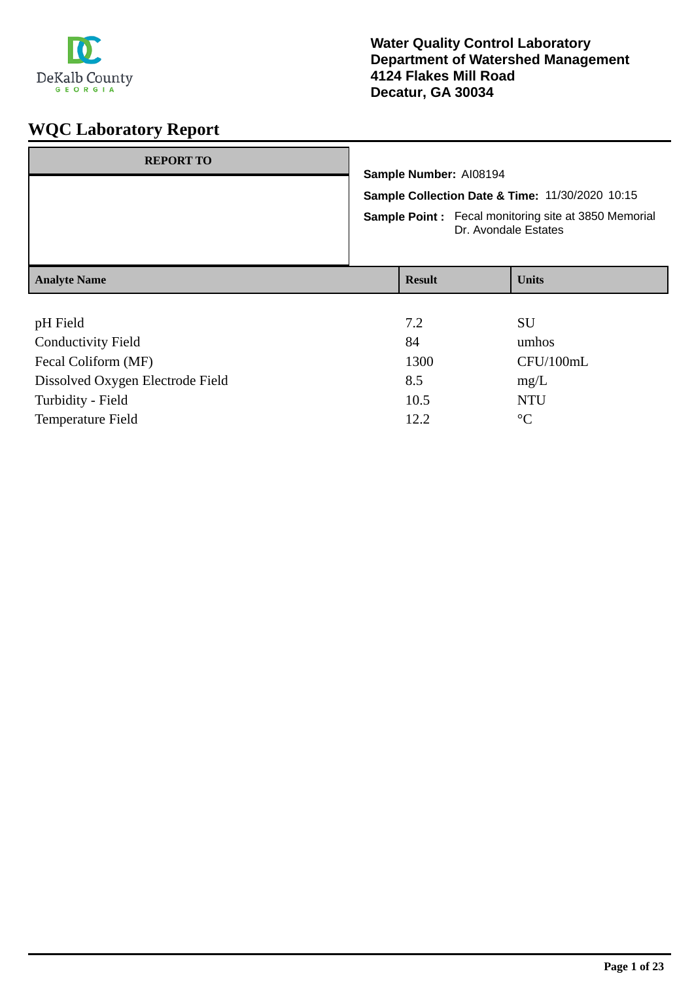

| <b>REPORT TO</b>                                                                        |                                                                                     |               |  |              |
|-----------------------------------------------------------------------------------------|-------------------------------------------------------------------------------------|---------------|--|--------------|
|                                                                                         | Sample Number: AI08194                                                              |               |  |              |
|                                                                                         | Sample Collection Date & Time: 11/30/2020 10:15                                     |               |  |              |
|                                                                                         | <b>Sample Point:</b> Fecal monitoring site at 3850 Memorial<br>Dr. Avondale Estates |               |  |              |
| <b>Analyte Name</b>                                                                     |                                                                                     | <b>Result</b> |  | <b>Units</b> |
|                                                                                         |                                                                                     |               |  |              |
| pH Field                                                                                |                                                                                     | 7.2           |  | SU           |
| <b>Conductivity Field</b>                                                               |                                                                                     | 84            |  | umhos        |
| $\Gamma_{\text{mod}}$ $\Gamma_{\text{odd}}$ $\Gamma_{\text{even}}$ $\Gamma_{\text{MD}}$ |                                                                                     | 1200          |  | CETI/100     |

| Fecal Coliform (MF)              | 1300 | CFU/100mL |
|----------------------------------|------|-----------|
| Dissolved Oxygen Electrode Field | 8.5  | mg/L      |
| Turbidity - Field                | 10.5 | NTU       |
| Temperature Field                | 12.2 | $\circ$   |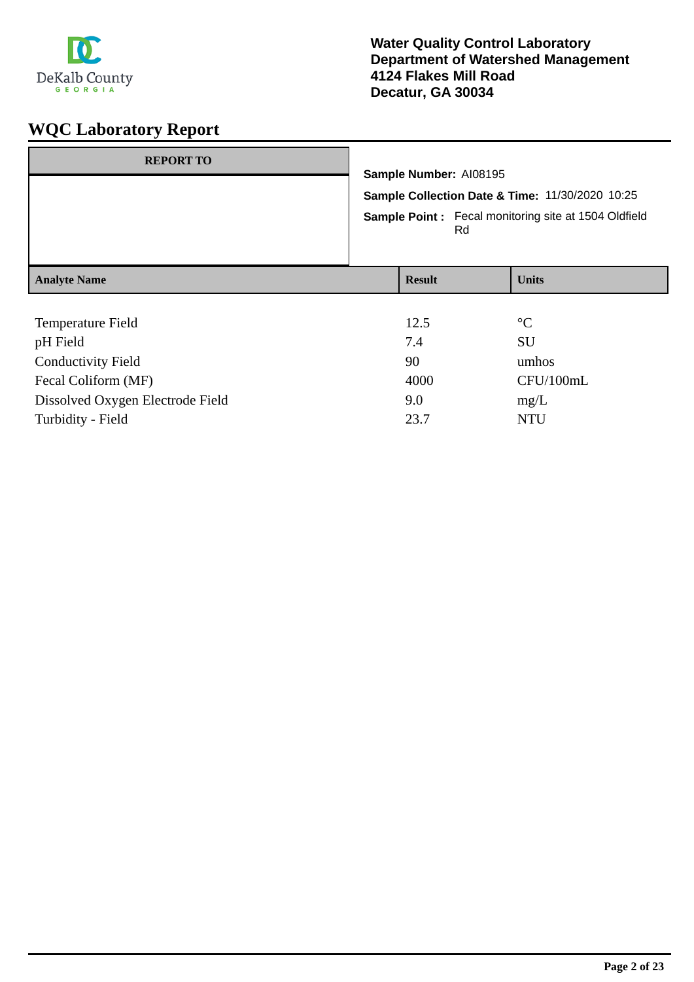

| <b>REPORT TO</b>                                           | Sample Number: AI08195<br>Sample Collection Date & Time: 11/30/2020 10:25<br><b>Sample Point:</b> Fecal monitoring site at 1504 Oldfield<br>Rd |                   |  |                                |
|------------------------------------------------------------|------------------------------------------------------------------------------------------------------------------------------------------------|-------------------|--|--------------------------------|
| <b>Analyte Name</b>                                        |                                                                                                                                                | <b>Result</b>     |  | <b>Units</b>                   |
| Temperature Field<br>pH Field<br><b>Conductivity Field</b> |                                                                                                                                                | 12.5<br>7.4<br>90 |  | $\rm ^{\circ}C$<br>SU<br>umhos |

| <b>Conductivity Field</b>        | 90   | umhos     |
|----------------------------------|------|-----------|
| Fecal Coliform (MF)              | 4000 | CFU/100mL |
| Dissolved Oxygen Electrode Field | 9.0  | mg/L      |
| Turbidity - Field                | 23.7 | NTU       |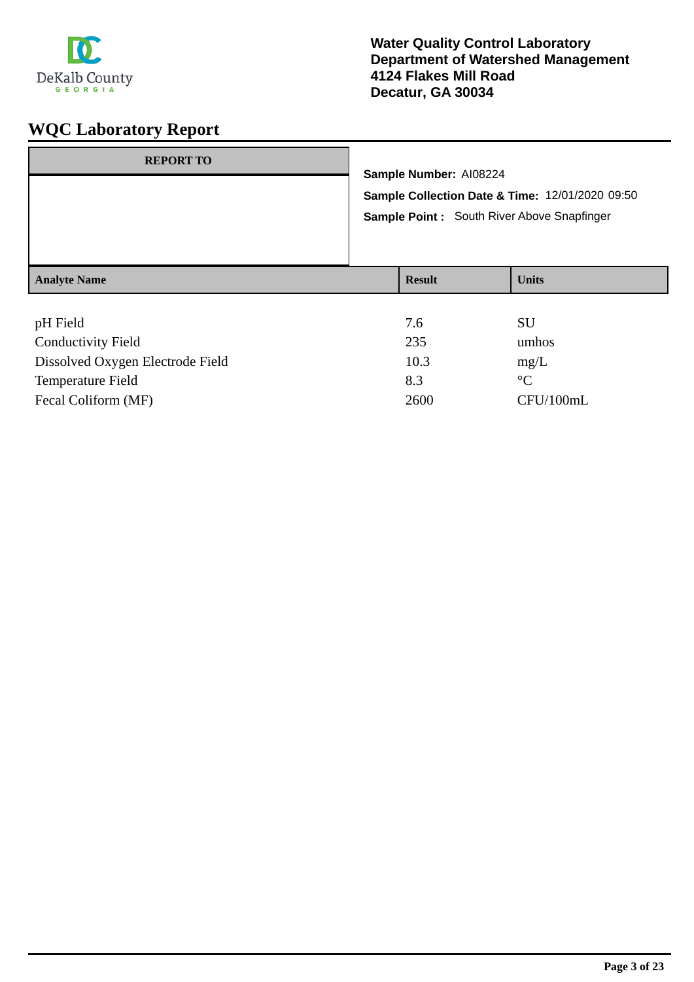

| <b>REPORT TO</b>                                      | Sample Number: AI08224 | Sample Collection Date & Time: 12/01/2020 09:50<br>Sample Point: South River Above Snapfinger |
|-------------------------------------------------------|------------------------|-----------------------------------------------------------------------------------------------|
| <b>Analyte Name</b>                                   | <b>Result</b>          | <b>Units</b>                                                                                  |
| pH Field<br>$C_{\alpha}$ due division $E_{\alpha}$ 14 | 7.6<br>225             | SU<br>rulea                                                                                   |

| <b>Conductivity Field</b>        | 235  | umhos       |
|----------------------------------|------|-------------|
| Dissolved Oxygen Electrode Field | 10.3 | mg/L        |
| Temperature Field                | 8.3  | $^{\circ}C$ |
| Fecal Coliform (MF)              | 2600 | CFU/100mL   |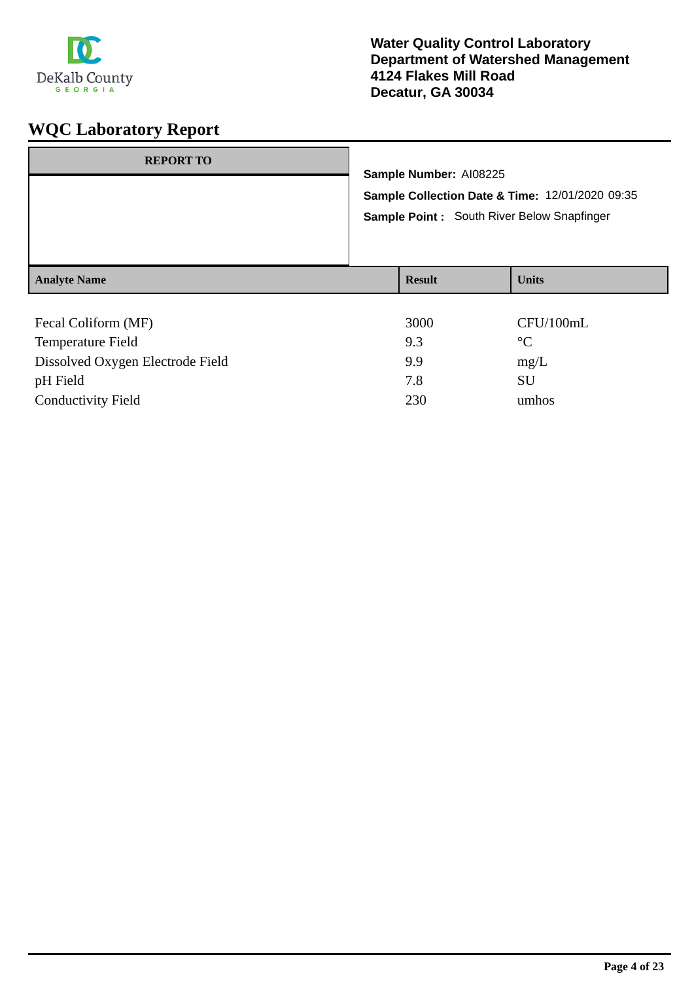

| <b>REPORT TO</b>                | Sample Number: AI08225<br>Sample Collection Date & Time: 12/01/2020 09:35<br>Sample Point: South River Below Snapfinger |                     |  |
|---------------------------------|-------------------------------------------------------------------------------------------------------------------------|---------------------|--|
| <b>Analyte Name</b>             | <b>Result</b>                                                                                                           | <b>Units</b>        |  |
| Fecal Coliform (MF)<br>$T = 11$ | 3000<br>$\Omega$                                                                                                        | CFU/100mL<br>$\sim$ |  |

| <b>Temperature Field</b>         | 9.3 | $\rm ^{\circ}C$ |
|----------------------------------|-----|-----------------|
| Dissolved Oxygen Electrode Field | 99  | mg/L            |
| pH Field                         | 7.8 | SU              |
| <b>Conductivity Field</b>        | 230 | umhos           |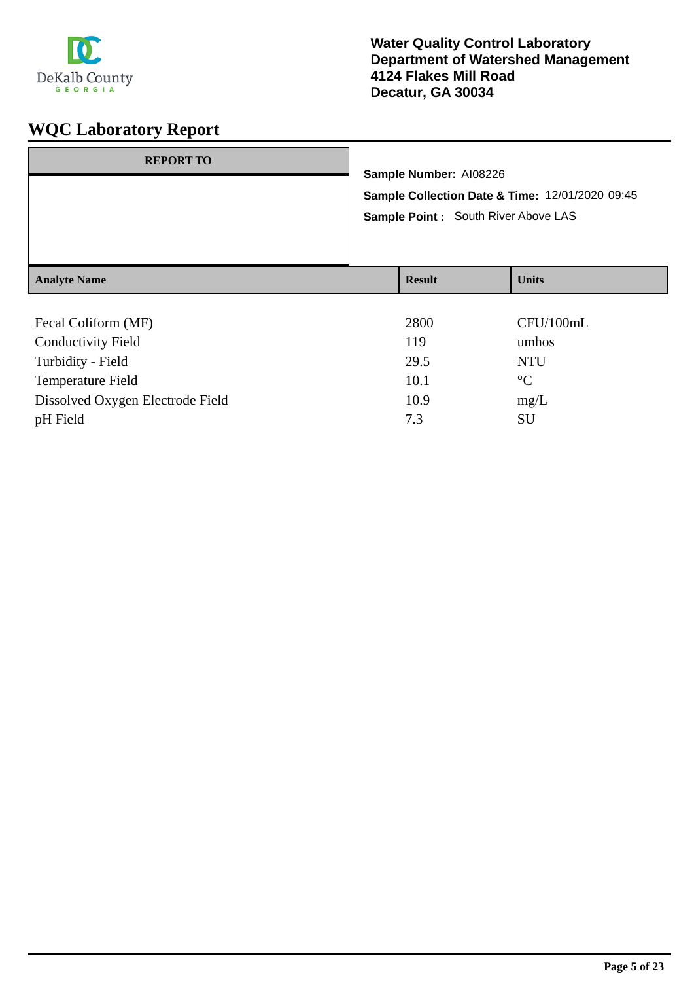

| <b>REPORT TO</b>    | Sample Number: AI08226<br>Sample Collection Date & Time: 12/01/2020 09:45<br>Sample Point: South River Above LAS |               |              |
|---------------------|------------------------------------------------------------------------------------------------------------------|---------------|--------------|
| <b>Analyte Name</b> |                                                                                                                  | <b>Result</b> | <b>Units</b> |
| Fecal Coliform (MF) |                                                                                                                  | 2800<br>.     | CFU/100mL    |

| <b>Conductivity Field</b>        | 119  | umhos           |
|----------------------------------|------|-----------------|
| Turbidity - Field                | 29.5 | NTU             |
| Temperature Field                | 10.1 | $\rm ^{\circ}C$ |
| Dissolved Oxygen Electrode Field | 10.9 | mg/L            |
| pH Field                         | 7.3  | SU              |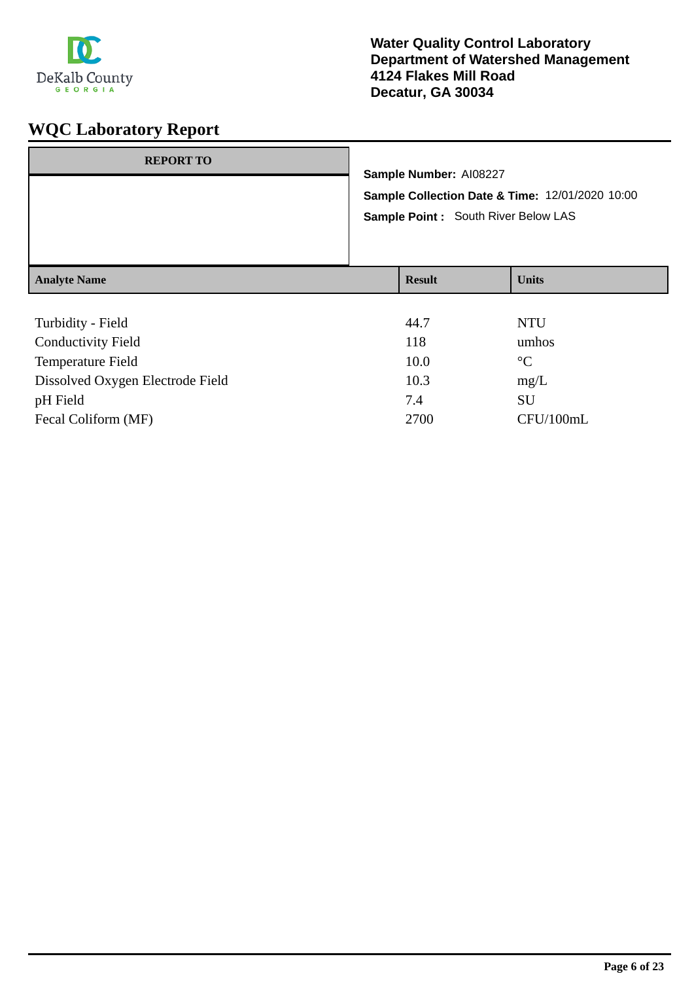

| <b>REPORT TO</b>                                |                                                 |                                      |                 |  |                        |  |
|-------------------------------------------------|-------------------------------------------------|--------------------------------------|-----------------|--|------------------------|--|
|                                                 | Sample Collection Date & Time: 12/01/2020 10:00 |                                      |                 |  | Sample Number: AI08227 |  |
|                                                 |                                                 |                                      |                 |  |                        |  |
|                                                 |                                                 | Sample Point : South River Below LAS |                 |  |                        |  |
| <b>Analyte Name</b>                             |                                                 | <b>Result</b>                        | <b>Units</b>    |  |                        |  |
|                                                 |                                                 |                                      |                 |  |                        |  |
| Turbidity - Field                               |                                                 | 44.7                                 | <b>NTU</b>      |  |                        |  |
| $C_{\text{out}}$ decay in $\Gamma$ and $\Gamma$ |                                                 | 11 <sub>0</sub>                      | المنصبة الممتحد |  |                        |  |

| <b>Conductivity Field</b>        | 118  | umhos           |
|----------------------------------|------|-----------------|
| Temperature Field                | 10.0 | $\rm ^{\circ}C$ |
| Dissolved Oxygen Electrode Field | 10.3 | mg/L            |
| pH Field                         | 7.4  | SU              |
| Fecal Coliform (MF)              | 2700 | CFU/100mL       |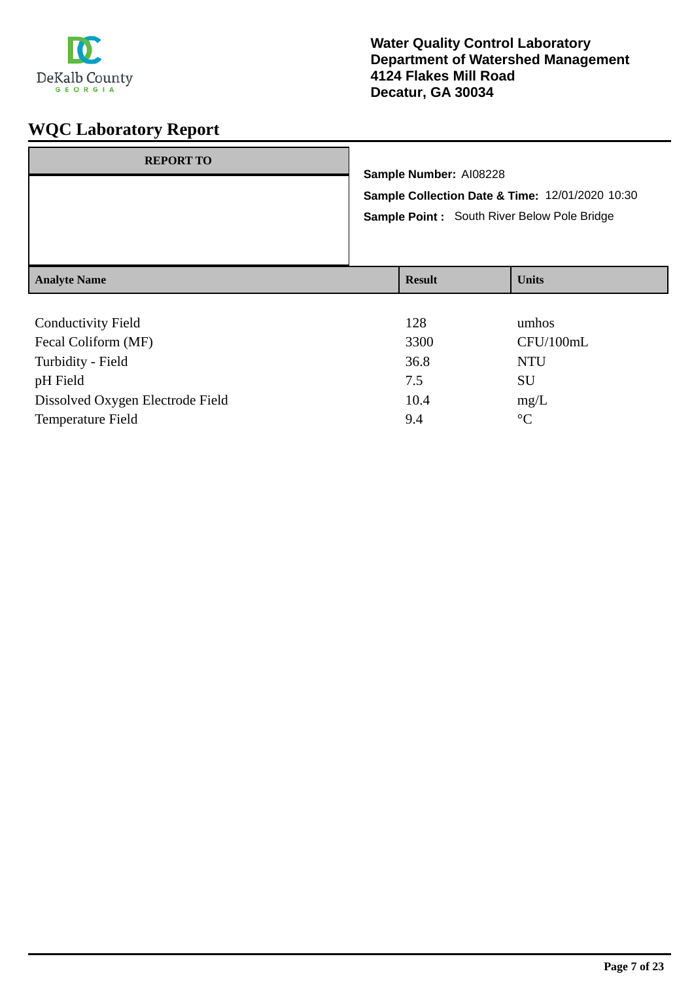

| <b>REPORT TO</b>          | Sample Number: AI08228<br>Sample Collection Date & Time: 12/01/2020 10:30<br>Sample Point: South River Below Pole Bridge |               |              |
|---------------------------|--------------------------------------------------------------------------------------------------------------------------|---------------|--------------|
| <b>Analyte Name</b>       |                                                                                                                          | <b>Result</b> | <b>Units</b> |
| <b>Conductivity Field</b> |                                                                                                                          | 128           | umhos        |

| CONQUESSION FIGIU                | 1/20 | unnos           |
|----------------------------------|------|-----------------|
| Fecal Coliform (MF)              | 3300 | CFU/100mL       |
| Turbidity - Field                | 36.8 | NTU             |
| pH Field                         | 7.5  | SU              |
| Dissolved Oxygen Electrode Field | 10.4 | mg/L            |
| Temperature Field                | 9.4  | $\rm ^{\circ}C$ |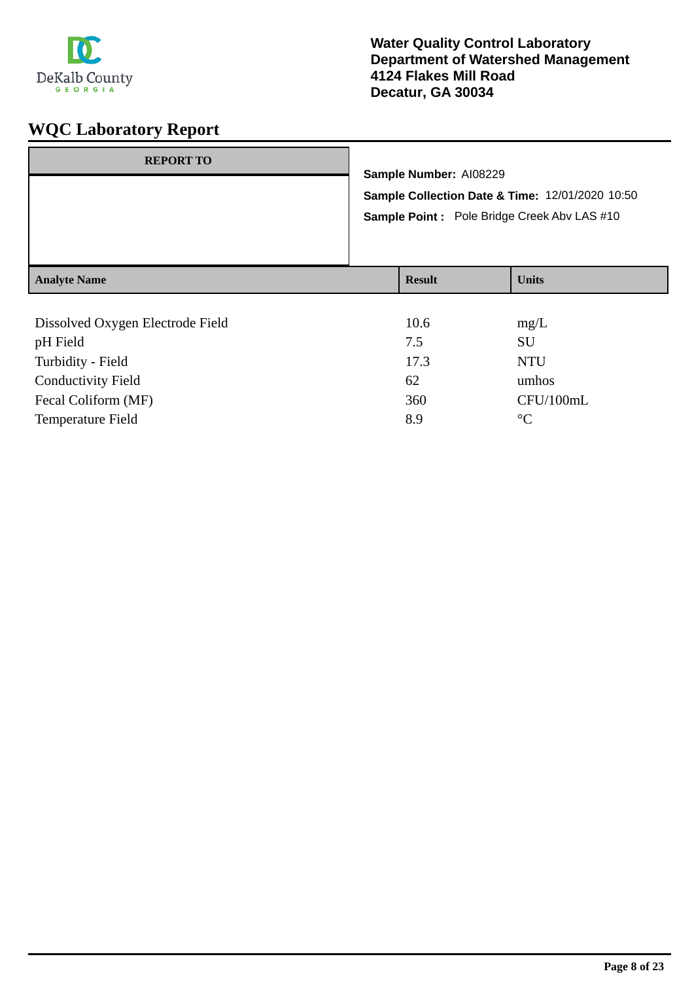

| <b>Analyte Name</b> |                                                                                                | <b>Result</b>          | <b>Units</b> |
|---------------------|------------------------------------------------------------------------------------------------|------------------------|--------------|
|                     | Sample Collection Date & Time: 12/01/2020 10:50<br>Sample Point: Pole Bridge Creek Abv LAS #10 |                        |              |
| <b>REPORT TO</b>    |                                                                                                | Sample Number: AI08229 |              |

| CFU/100mL |
|-----------|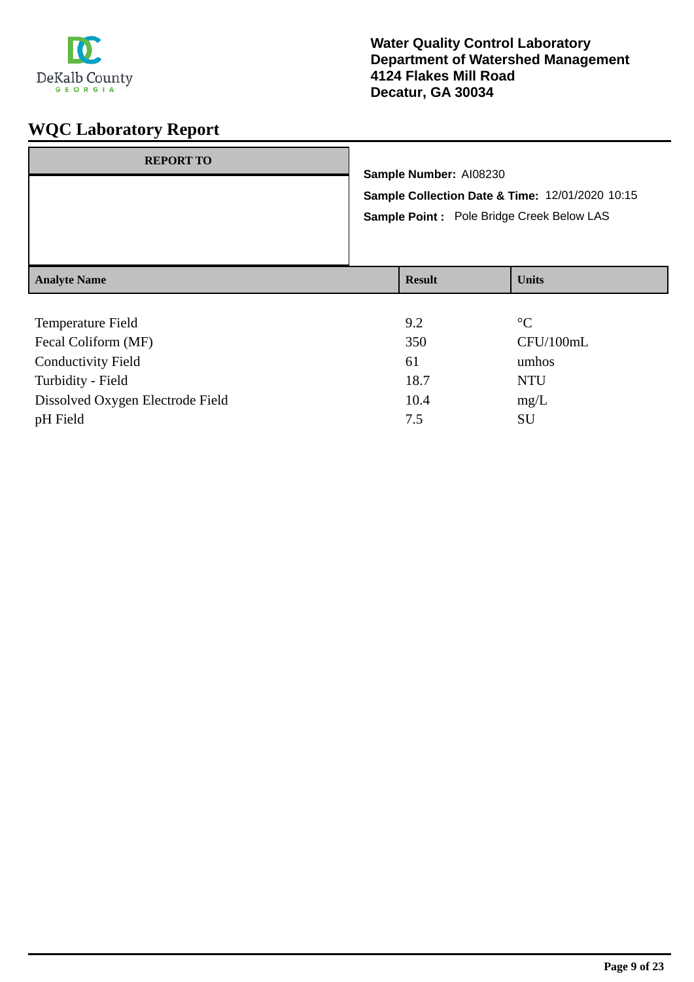

| <b>REPORT TO</b>    | Sample Number: Al08230<br>Sample Collection Date & Time: 12/01/2020 10:15<br>Sample Point : Pole Bridge Creek Below LAS |               |              |
|---------------------|-------------------------------------------------------------------------------------------------------------------------|---------------|--------------|
| <b>Analyte Name</b> |                                                                                                                         | <b>Result</b> | <b>Units</b> |
|                     |                                                                                                                         |               |              |

| <b>Temperature Field</b>         | 9.2  | $\rm ^{\circ}C$ |
|----------------------------------|------|-----------------|
| Fecal Coliform (MF)              | 350  | CFU/100mL       |
| <b>Conductivity Field</b>        | 61   | umhos           |
| Turbidity - Field                | 18.7 | <b>NTU</b>      |
| Dissolved Oxygen Electrode Field | 10.4 | mg/L            |
| pH Field                         | 7.5  | <b>SU</b>       |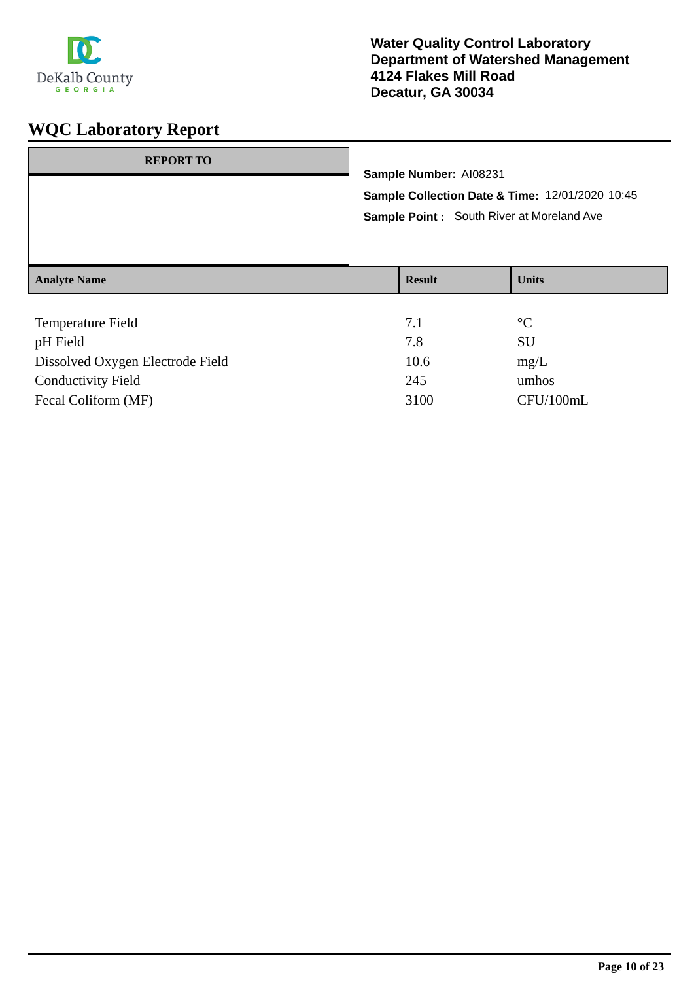

| <b>REPORT TO</b>    |                                                 |                        |                                           |
|---------------------|-------------------------------------------------|------------------------|-------------------------------------------|
|                     |                                                 | Sample Number: AI08231 |                                           |
|                     | Sample Collection Date & Time: 12/01/2020 10:45 |                        |                                           |
|                     |                                                 |                        | Sample Point: South River at Moreland Ave |
|                     |                                                 |                        |                                           |
| <b>Analyte Name</b> |                                                 | <b>Result</b>          | <b>Units</b>                              |
|                     |                                                 |                        |                                           |
| Temperature Field   |                                                 | 7.1                    | $\rm ^{\circ}C$                           |
| pH Field            |                                                 | 7.8                    | SU                                        |

Dissolved Oxygen Electrode Field 10.6 mg/L Conductivity Field 245 umhos

Fecal Coliform (MF) 3100 CFU/100mL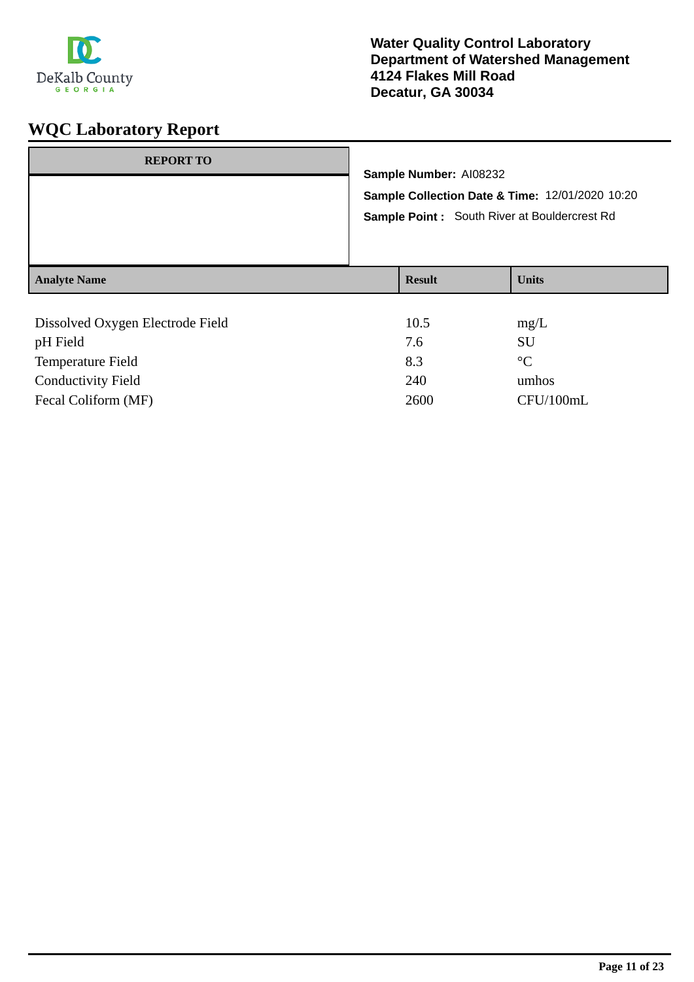

| <b>REPORT TO</b>                                     | Sample Number: AI08232                                                                          |                    |  |
|------------------------------------------------------|-------------------------------------------------------------------------------------------------|--------------------|--|
|                                                      | Sample Collection Date & Time: 12/01/2020 10:20<br>Sample Point: South River at Bouldercrest Rd |                    |  |
| <b>Analyte Name</b>                                  | <b>Result</b>                                                                                   | <b>Units</b>       |  |
| Dissolved Oxygen Electrode Field<br><b>TT TT' 11</b> | 10.5<br>$\sim$                                                                                  | mg/L<br>$\sim$ T T |  |

| pH Field                  | 7.6  | SU          |
|---------------------------|------|-------------|
| Temperature Field         | 8.3  | $^{\circ}C$ |
| <b>Conductivity Field</b> | 240  | umhos       |
| Fecal Coliform (MF)       | 2600 | CFU/100mL   |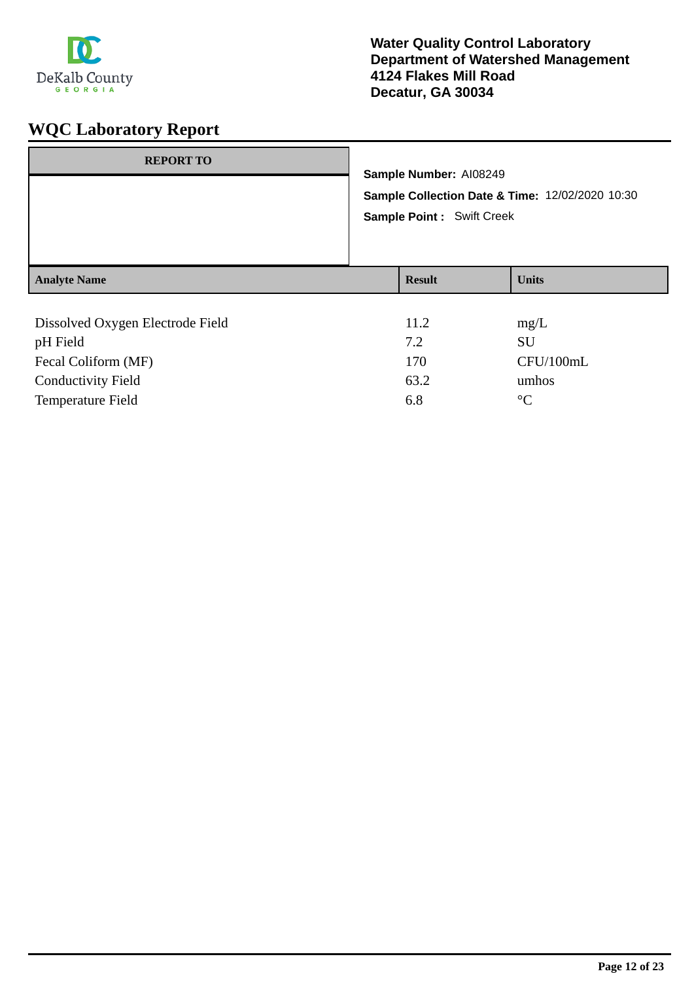

| <b>REPORT TO</b>                             | Sample Number: AI08249<br>Sample Collection Date & Time: 12/02/2020 10:30 |                   |  |
|----------------------------------------------|---------------------------------------------------------------------------|-------------------|--|
|                                              | <b>Sample Point: Swift Creek</b>                                          |                   |  |
| <b>Analyte Name</b>                          | <b>Result</b>                                                             | <b>Units</b>      |  |
| Dissolved Oxygen Electrode Field<br>pH Field | 11.2<br>7.2                                                               | mg/L<br><b>SU</b> |  |
| Fecal Coliform (MF)                          | 170                                                                       | CFU/100mL         |  |

Conductivity Field 63.2 umhos Temperature Field 6.8 °C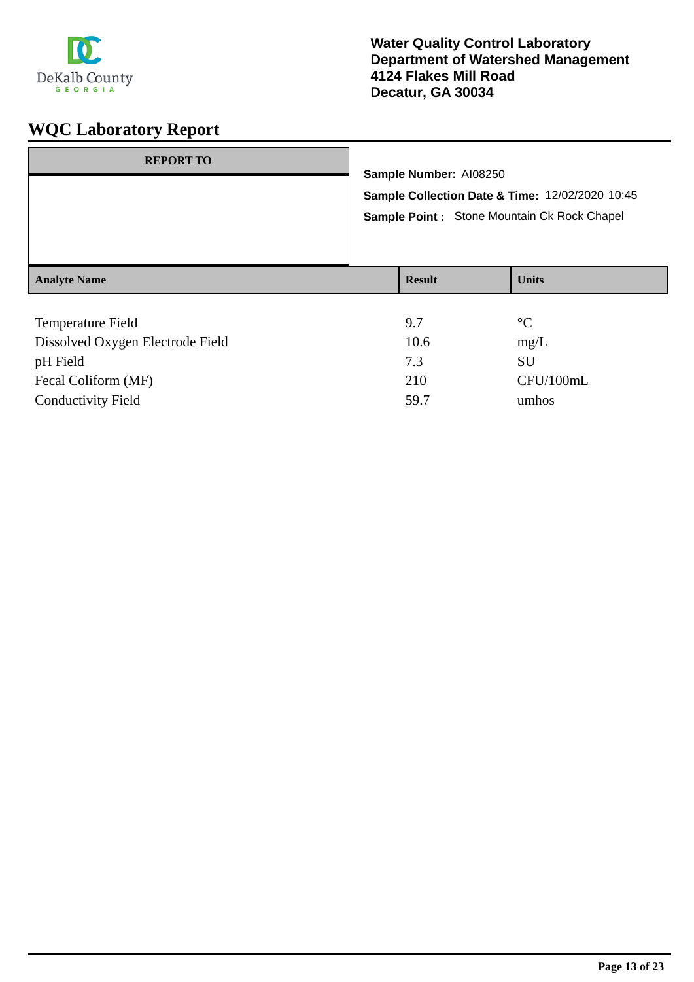

| <b>REPORT TO</b>    | Sample Number: AI08250<br>Sample Collection Date & Time: 12/02/2020 10:45<br>Sample Point: Stone Mountain Ck Rock Chapel |               |                 |
|---------------------|--------------------------------------------------------------------------------------------------------------------------|---------------|-----------------|
| <b>Analyte Name</b> |                                                                                                                          | <b>Result</b> | <b>Units</b>    |
| Temperature Field   |                                                                                                                          | 9.7           | $\rm ^{\circ}C$ |

| 10.6 | mg/L      |
|------|-----------|
| 7.3  | SU        |
| 210  | CFU/100mL |
| 59.7 | umhos     |
|      |           |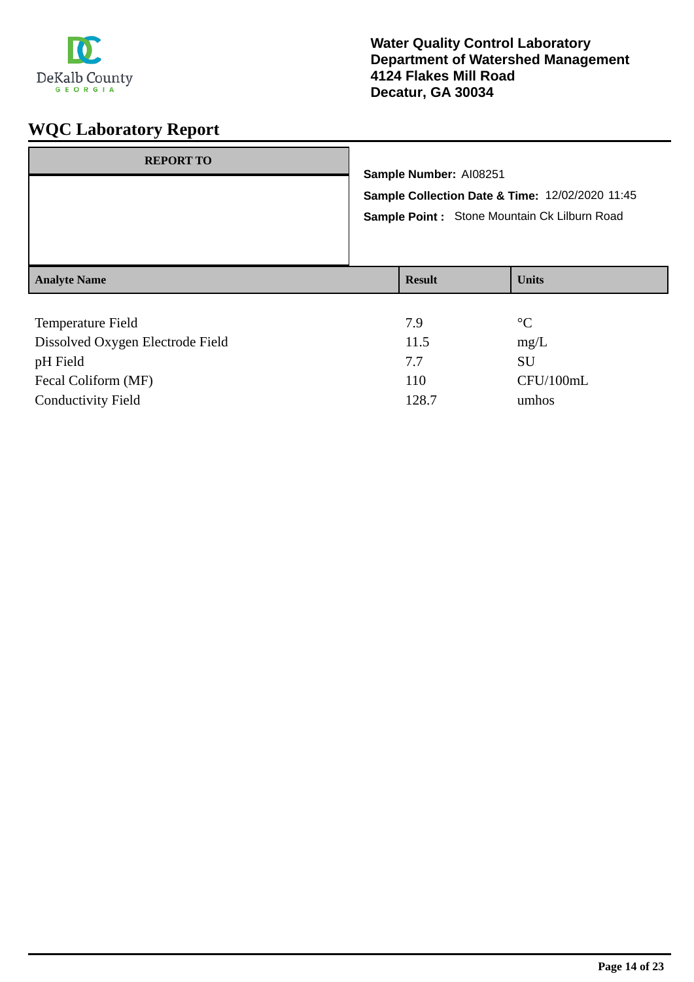

| <b>REPORT TO</b>    | Sample Number: AI08251<br>Sample Collection Date & Time: 12/02/2020 11:45<br>Sample Point: Stone Mountain Ck Lilburn Road |                 |  |
|---------------------|---------------------------------------------------------------------------------------------------------------------------|-----------------|--|
| <b>Analyte Name</b> | <b>Result</b>                                                                                                             | <b>Units</b>    |  |
| Temperature Field   | 7.9                                                                                                                       | $\rm ^{\circ}C$ |  |

| 11.5  | mg/L      |
|-------|-----------|
| 77    | SU        |
| 110   | CFU/100mL |
| 128.7 | umhos     |
|       |           |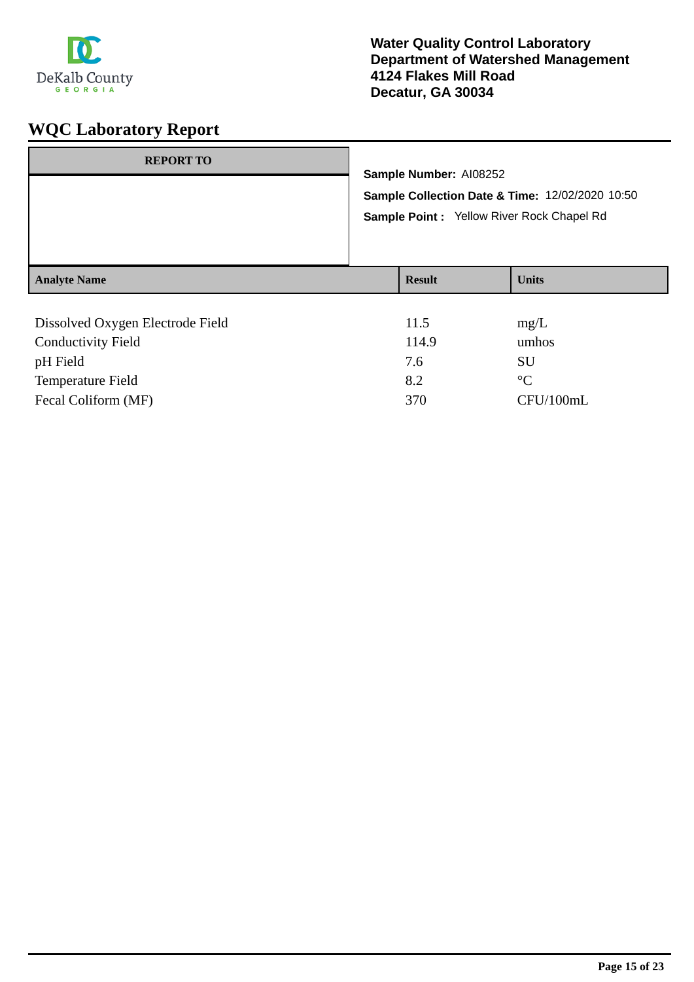

| <b>REPORT TO</b>                 |  |                                                                           |              |  |
|----------------------------------|--|---------------------------------------------------------------------------|--------------|--|
|                                  |  | Sample Number: AI08252<br>Sample Collection Date & Time: 12/02/2020 10:50 |              |  |
|                                  |  |                                                                           |              |  |
|                                  |  | Sample Point : Yellow River Rock Chapel Rd                                |              |  |
|                                  |  |                                                                           |              |  |
|                                  |  |                                                                           |              |  |
| <b>Analyte Name</b>              |  | <b>Result</b>                                                             | <b>Units</b> |  |
|                                  |  |                                                                           |              |  |
| Dissolved Oxygen Electrode Field |  | 11.5                                                                      | mg/L         |  |
| <b>Conductivity Field</b>        |  | 114.9                                                                     | umhos        |  |

| <b>Conductivity Field</b> | 114.9 | umhos       |
|---------------------------|-------|-------------|
| pH Field                  | 7.6   | SU          |
| Temperature Field         | 8.2   | $^{\circ}C$ |
| Fecal Coliform (MF)       | 370   | CFU/100mL   |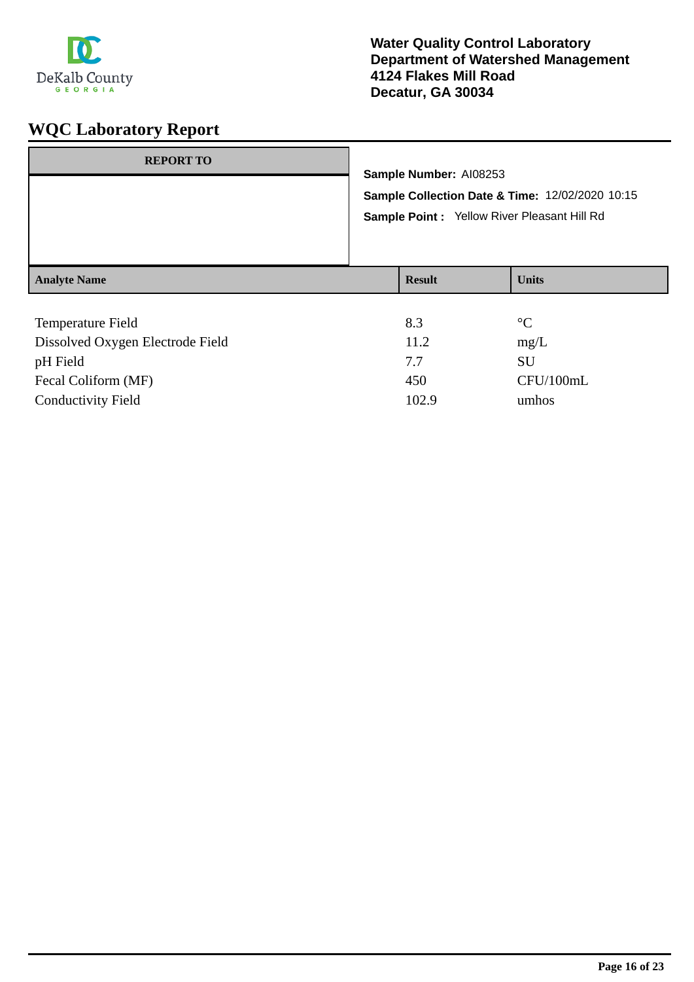

| <b>REPORT TO</b>         |     | Sample Number: AI08253<br>Sample Point : Yellow River Pleasant Hill Rd | Sample Collection Date & Time: 12/02/2020 10:15 |
|--------------------------|-----|------------------------------------------------------------------------|-------------------------------------------------|
| <b>Analyte Name</b>      |     | <b>Result</b>                                                          | <b>Units</b>                                    |
| <b>Temperature Field</b> | 8.3 |                                                                        | $\rm ^{\circ}C$                                 |

| 8.5   | $\sim$ $\sim$ |
|-------|---------------|
| 11.2  | mg/L          |
| 7.7   | SU            |
| 450   | CFU/100mL     |
| 102.9 | umhos         |
|       |               |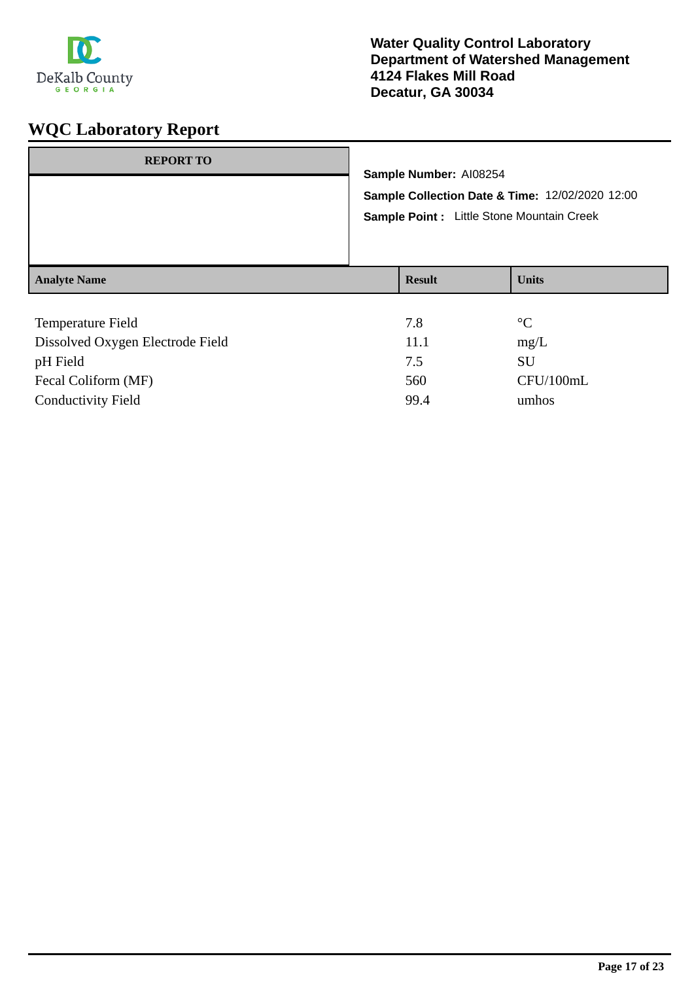

| <b>REPORT TO</b>                                                 | Sample Number: AI08254<br>Sample Collection Date & Time: 12/02/2020 12:00<br>Sample Point : Little Stone Mountain Creek |               |              |
|------------------------------------------------------------------|-------------------------------------------------------------------------------------------------------------------------|---------------|--------------|
| <b>Analyte Name</b>                                              |                                                                                                                         | <b>Result</b> | <b>Units</b> |
| $\mathbf{m}$ $\mathbf{m}$ $\mathbf{m}$ $\mathbf{m}$ $\mathbf{m}$ |                                                                                                                         | $\sim$ $\sim$ | $\sim$       |

| <b>Temperature Field</b>         | 7.8  | $\rm ^{\circ}C$ |
|----------------------------------|------|-----------------|
| Dissolved Oxygen Electrode Field | 11.1 | mg/L            |
| pH Field                         | 7.5  | SU              |
| Fecal Coliform (MF)              | 560  | CFU/100mL       |
| <b>Conductivity Field</b>        | 99.4 | umhos           |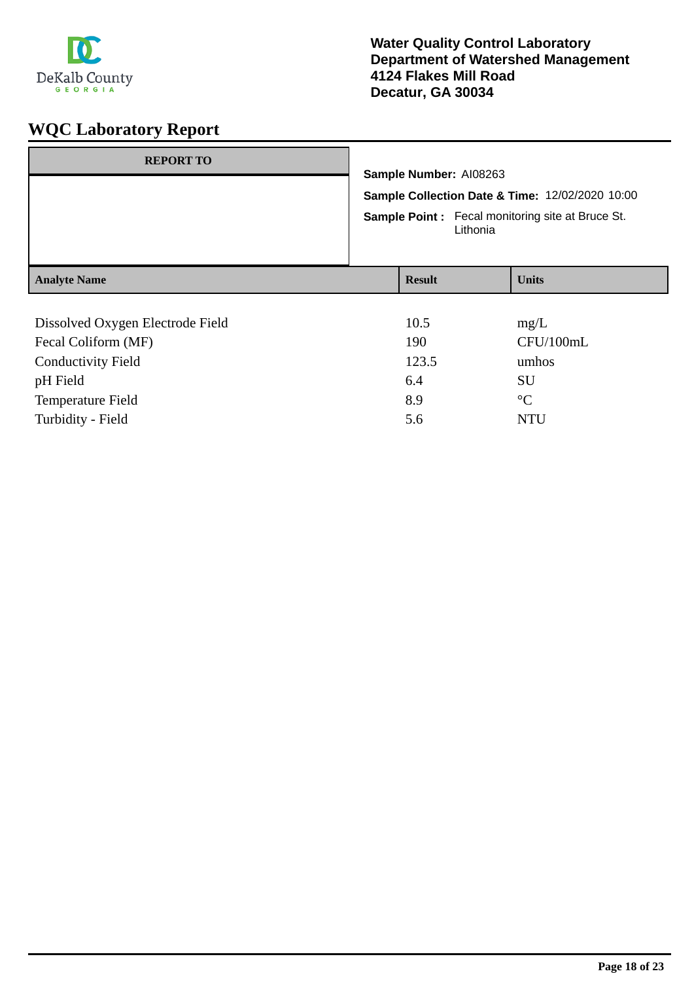

| <b>REPORT TO</b>                 | Sample Number: AI08263<br>Sample Collection Date & Time: 12/02/2020 10:00<br><b>Sample Point:</b> Fecal monitoring site at Bruce St.<br>Lithonia |               |  |                 |
|----------------------------------|--------------------------------------------------------------------------------------------------------------------------------------------------|---------------|--|-----------------|
| <b>Analyte Name</b>              |                                                                                                                                                  | <b>Result</b> |  | <b>Units</b>    |
|                                  |                                                                                                                                                  |               |  |                 |
| Dissolved Oxygen Electrode Field |                                                                                                                                                  | 10.5          |  | mg/L            |
| Fecal Coliform (MF)              |                                                                                                                                                  | 190           |  | CFU/100mL       |
| <b>Conductivity Field</b>        |                                                                                                                                                  | 123.5         |  | umhos           |
| pH Field                         |                                                                                                                                                  | 6.4           |  | <b>SU</b>       |
| Temperature Field                |                                                                                                                                                  | 8.9           |  | $\rm ^{\circ}C$ |
| Turbidity - Field                |                                                                                                                                                  | 5.6           |  | <b>NTU</b>      |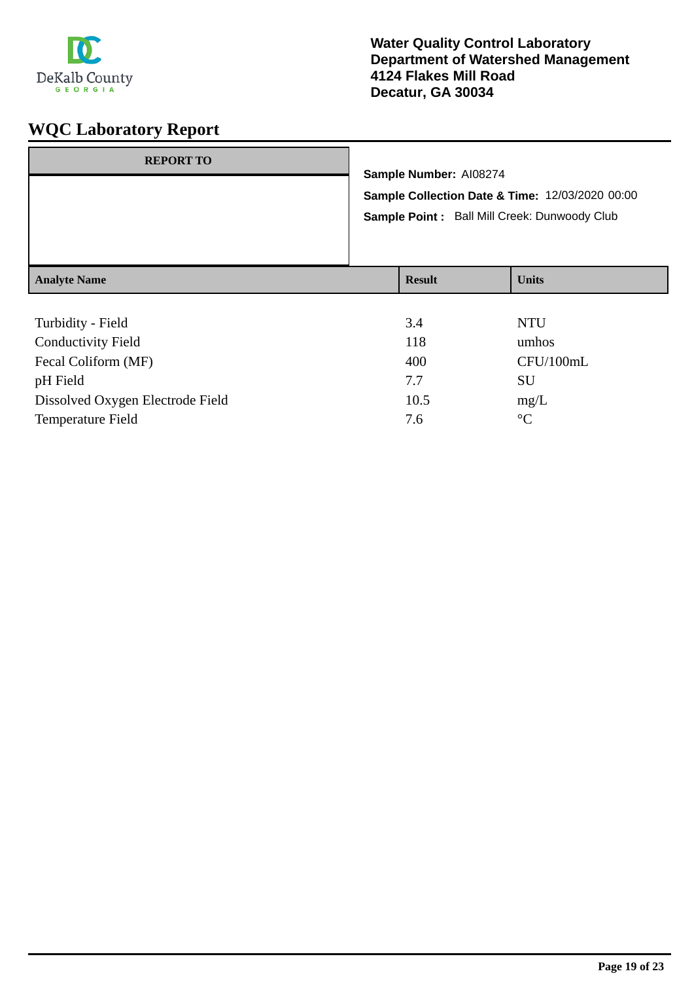

| <b>REPORT TO</b>    | Sample Number: AI08274 | Sample Collection Date & Time: 12/03/2020 00:00<br>Sample Point: Ball Mill Creek: Dunwoody Club |
|---------------------|------------------------|-------------------------------------------------------------------------------------------------|
| <b>Analyte Name</b> | <b>Result</b>          | <b>Units</b>                                                                                    |
| Turbidity - Field   | 3.4                    | NTU                                                                                             |

| ruionity riviu                   | ີ    | . <i>. .</i>    |
|----------------------------------|------|-----------------|
| <b>Conductivity Field</b>        | 118  | umhos           |
| Fecal Coliform (MF)              | 400  | CFU/100mL       |
| pH Field                         | 7.7  | SU              |
| Dissolved Oxygen Electrode Field | 10.5 | mg/L            |
| Temperature Field                | 7.6  | $\rm ^{\circ}C$ |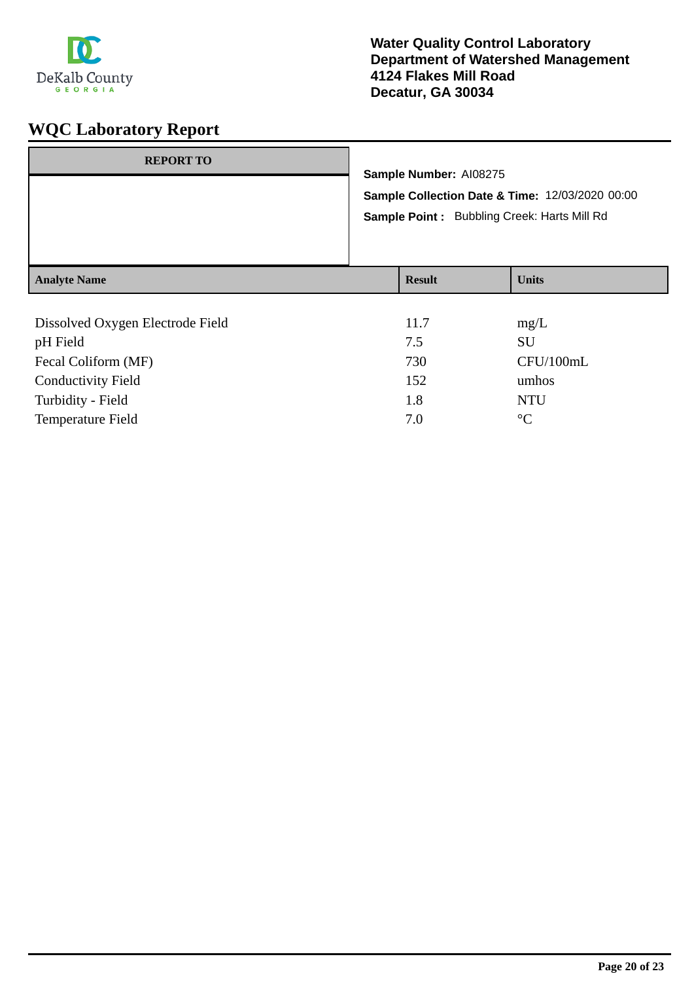

| <b>REPORT TO</b>    | Sample Number: AI08275<br>Sample Collection Date & Time: 12/03/2020 00:00<br>Sample Point: Bubbling Creek: Harts Mill Rd |               |              |
|---------------------|--------------------------------------------------------------------------------------------------------------------------|---------------|--------------|
| <b>Analyte Name</b> |                                                                                                                          | <b>Result</b> | <b>Units</b> |
| __________          |                                                                                                                          |               |              |

| Dissolved Oxygen Electrode Field | 11.7 | mg/L            |
|----------------------------------|------|-----------------|
| pH Field                         | 7.5  | SU              |
| Fecal Coliform (MF)              | 730  | CFU/100mL       |
| <b>Conductivity Field</b>        | 152  | umhos           |
| Turbidity - Field                | 1.8  | <b>NTU</b>      |
| <b>Temperature Field</b>         | 7.0  | $\rm ^{\circ}C$ |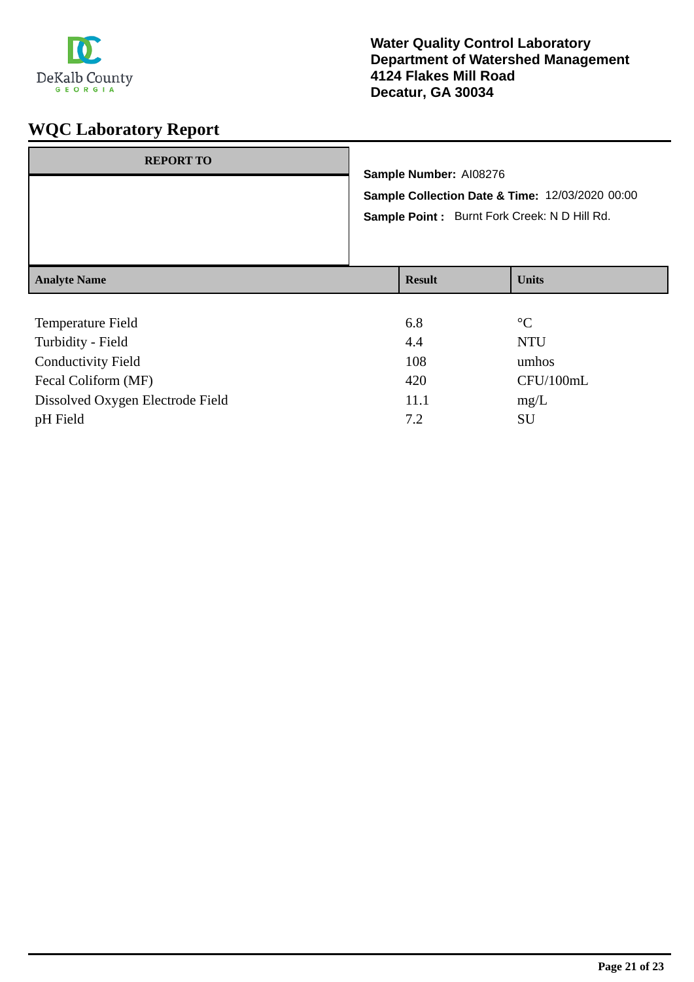

| <b>REPORT TO</b>    |                                                                                                                           |               |                 |
|---------------------|---------------------------------------------------------------------------------------------------------------------------|---------------|-----------------|
|                     | Sample Number: AI08276<br>Sample Collection Date & Time: 12/03/2020 00:00<br>Sample Point: Burnt Fork Creek: N D Hill Rd. |               |                 |
|                     |                                                                                                                           |               |                 |
|                     |                                                                                                                           |               |                 |
|                     |                                                                                                                           |               |                 |
|                     |                                                                                                                           |               |                 |
| <b>Analyte Name</b> |                                                                                                                           | <b>Result</b> | <b>Units</b>    |
|                     |                                                                                                                           |               |                 |
| Temperature Field   |                                                                                                                           | 6.8           | $\rm ^{\circ}C$ |

| Turbidity - Field                | 4.4  | NTU       |
|----------------------------------|------|-----------|
| <b>Conductivity Field</b>        | 108  | umhos     |
| Fecal Coliform (MF)              | 420  | CFU/100mL |
| Dissolved Oxygen Electrode Field | 11.1 | mg/L      |
| pH Field                         | 7.2  | SU        |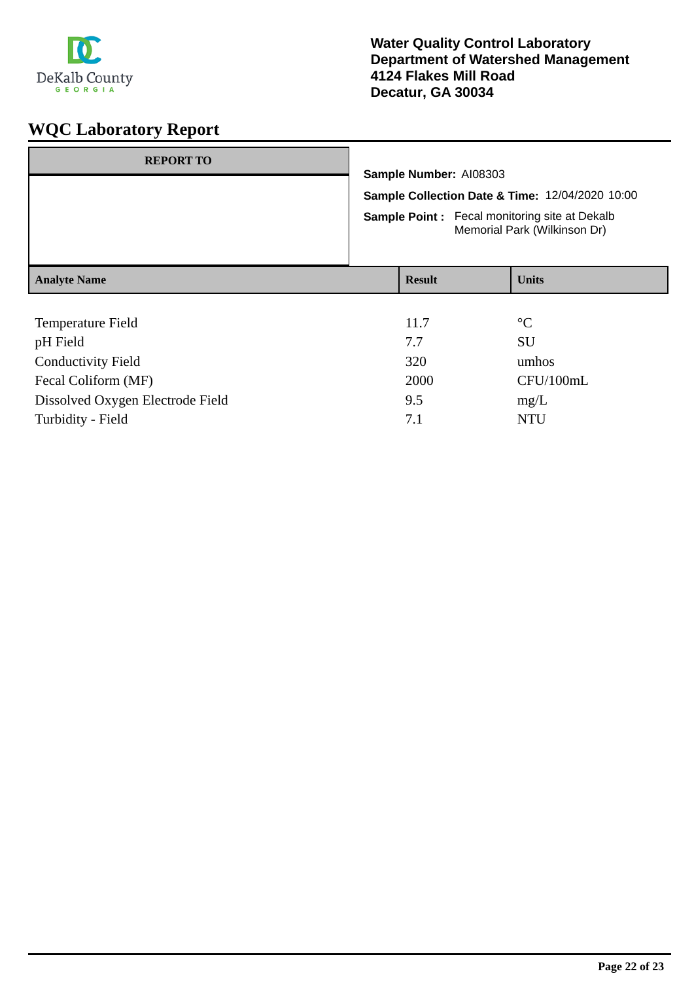

| <b>REPORT TO</b>          |                                                                                      |                                                                           |                 |  |
|---------------------------|--------------------------------------------------------------------------------------|---------------------------------------------------------------------------|-----------------|--|
|                           |                                                                                      | Sample Number: AI08303<br>Sample Collection Date & Time: 12/04/2020 10:00 |                 |  |
|                           |                                                                                      |                                                                           |                 |  |
|                           | <b>Sample Point:</b> Fecal monitoring site at Dekalb<br>Memorial Park (Wilkinson Dr) |                                                                           |                 |  |
| <b>Analyte Name</b>       | <b>Result</b>                                                                        |                                                                           | <b>Units</b>    |  |
|                           |                                                                                      |                                                                           |                 |  |
| Temperature Field         | 11.7                                                                                 |                                                                           | $\rm ^{\circ}C$ |  |
| pH Field                  | 7.7                                                                                  |                                                                           | <b>SU</b>       |  |
| <b>Conductivity Field</b> | 320                                                                                  |                                                                           | umhos           |  |
| Fecal Coliform (MF)       | 2000                                                                                 |                                                                           | CFU/100mL       |  |

Dissolved Oxygen Electrode Field 9.5 mg/L Turbidity - Field NTU